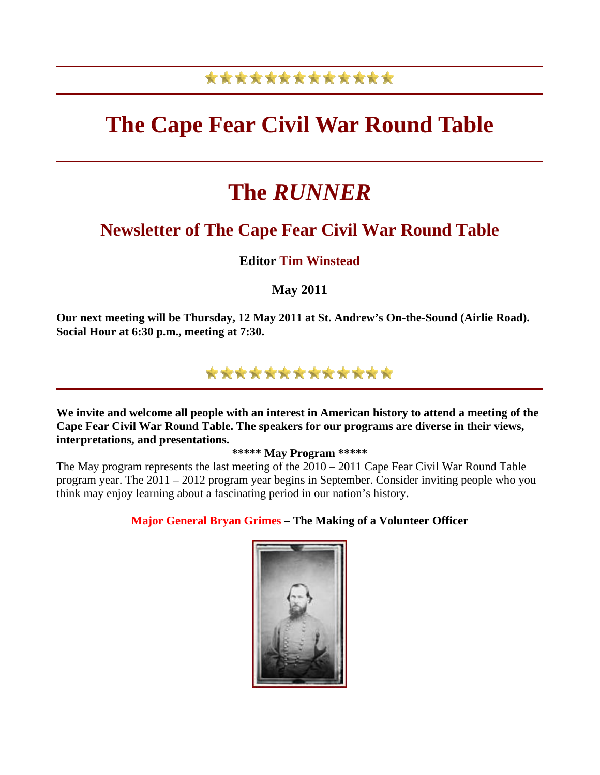## \*\*\*\*\*\*\*\*\*\*\*\*\*

# **The Cape Fear Civil War Round Table**

# **The** *RUNNER*

## **Newsletter of The Cape Fear Civil War Round Table**

### **Editor Tim Winstead**

**May 2011** 

**Our next meeting will be Thursday, 12 May 2011 at St. Andrew's On-the-Sound (Airlie Road). Social Hour at 6:30 p.m., meeting at 7:30.** 



**We invite and welcome all people with an interest in American history to attend a meeting of the Cape Fear Civil War Round Table. The speakers for our programs are diverse in their views, interpretations, and presentations.** 

**\*\*\*\*\* May Program \*\*\*\*\***

The May program represents the last meeting of the 2010 – 2011 Cape Fear Civil War Round Table program year. The 2011 – 2012 program year begins in September. Consider inviting people who you think may enjoy learning about a fascinating period in our nation's history.

**Major General Bryan Grimes – The Making of a Volunteer Officer** 

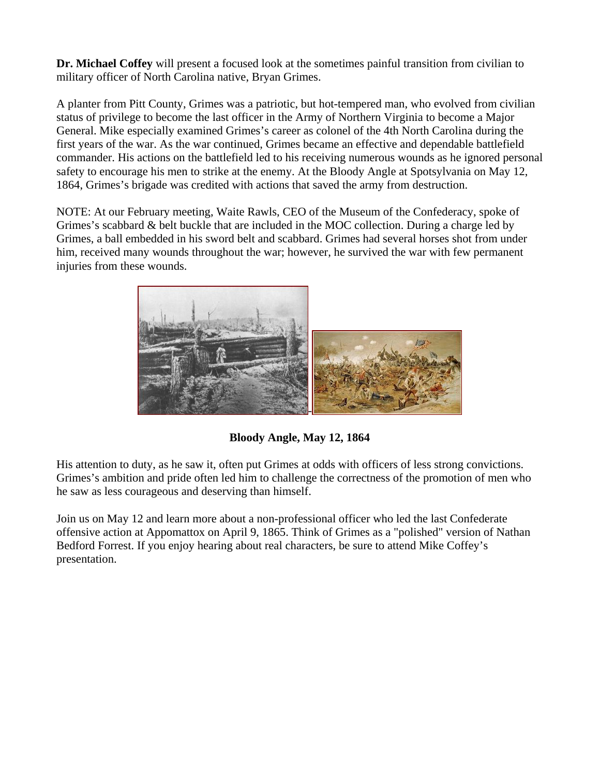**Dr. Michael Coffey** will present a focused look at the sometimes painful transition from civilian to military officer of North Carolina native, Bryan Grimes.

A planter from Pitt County, Grimes was a patriotic, but hot-tempered man, who evolved from civilian status of privilege to become the last officer in the Army of Northern Virginia to become a Major General. Mike especially examined Grimes's career as colonel of the 4th North Carolina during the first years of the war. As the war continued, Grimes became an effective and dependable battlefield commander. His actions on the battlefield led to his receiving numerous wounds as he ignored personal safety to encourage his men to strike at the enemy. At the Bloody Angle at Spotsylvania on May 12, 1864, Grimes's brigade was credited with actions that saved the army from destruction.

NOTE: At our February meeting, Waite Rawls, CEO of the Museum of the Confederacy, spoke of Grimes's scabbard & belt buckle that are included in the MOC collection. During a charge led by Grimes, a ball embedded in his sword belt and scabbard. Grimes had several horses shot from under him, received many wounds throughout the war; however, he survived the war with few permanent injuries from these wounds.



**Bloody Angle, May 12, 1864** 

His attention to duty, as he saw it, often put Grimes at odds with officers of less strong convictions. Grimes's ambition and pride often led him to challenge the correctness of the promotion of men who he saw as less courageous and deserving than himself.

Join us on May 12 and learn more about a non-professional officer who led the last Confederate offensive action at Appomattox on April 9, 1865. Think of Grimes as a "polished" version of Nathan Bedford Forrest. If you enjoy hearing about real characters, be sure to attend Mike Coffey's presentation.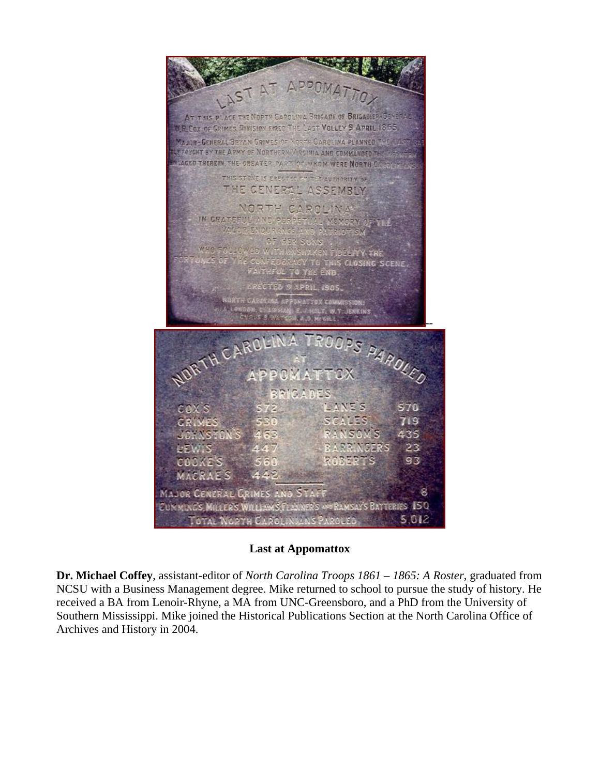$A^{\top}$ LAST AT THIS PLACE THE NORTH CAPOLINA BRIGADE OF BRIGADIER-GENERA **M.R. Cox of GRIMES DIVISION FRED THE LAST VOLLEY 9 APRIL 1855** MAJOR-GENERAL BRYAN GRINES OF MORTH CAROLINA PLANNED FFORGHT BY THE ARMY OF NORTHERN WIRSINIA AND COMMANDED **SAGED THEREIN, THE GREATER PART OF WHOM WERE NORTH C** THIS STONE IS ERECTED FOUTLE AUTHORITY OF THE GENERAL ASSEMBLY NORTH CAROLINA IN GRATEFUL AND DESSERVA 1117 AD PUBILO 1499  $\sim$  $1500$ MUNSHAKEN FIBER<br>DERACY TO THIS CL<br>UL TO THE END FY THE CLOSING SCENE SCYED S APRIL, ISOS LOLY, W.T. JENKINS GREE. ROOPS PAROLED NORTH CARO PCMATTCX **BRICADES** LANES cax's 570 **CRIMES** SCALES 719 NSOW JOHNSTO) 435 **LEWIS** RASSINGERS 23 ROBERTS COOKES 93 MACRAES L.P MAJOR CENERAL GRIMES AND STAFF 8 CUMMINGS MILLER'S WILLIAMS FLANNER'S A **ORAMSAY'S BATTERIES 150** TOTAL NORTH CAROLINIANS PAROLED 5.012

#### **Last at Appomattox**

**Dr. Michael Coffey**, assistant-editor of *North Carolina Troops 1861 – 1865: A Roster*, graduated from NCSU with a Business Management degree. Mike returned to school to pursue the study of history. He received a BA from Lenoir-Rhyne, a MA from UNC-Greensboro, and a PhD from the University of Southern Mississippi. Mike joined the Historical Publications Section at the North Carolina Office of Archives and History in 2004.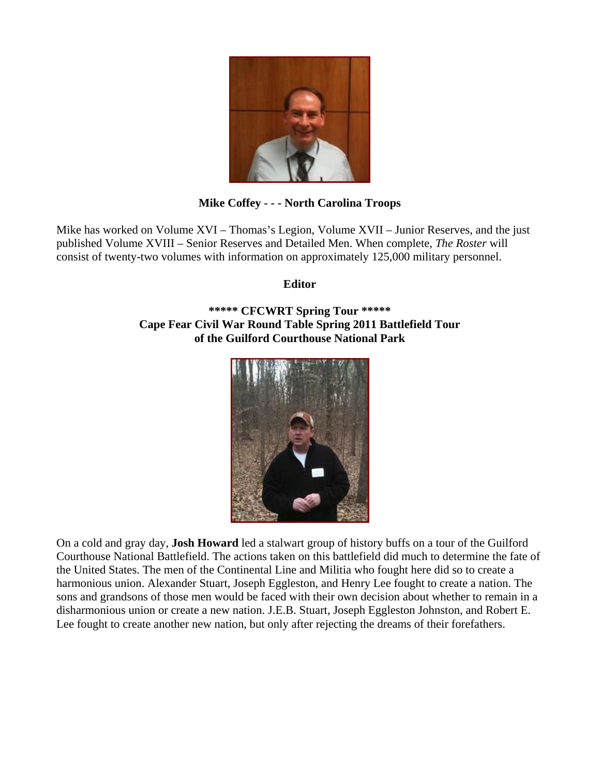

#### **Mike Coffey - - - North Carolina Troops**

Mike has worked on Volume XVI – Thomas's Legion, Volume XVII – Junior Reserves, and the just published Volume XVIII – Senior Reserves and Detailed Men. When complete, *The Roster* will consist of twenty-two volumes with information on approximately 125,000 military personnel.

**Editor** 

**\*\*\*\*\* CFCWRT Spring Tour \*\*\*\*\* Cape Fear Civil War Round Table Spring 2011 Battlefield Tour of the Guilford Courthouse National Park** 



On a cold and gray day, **Josh Howard** led a stalwart group of history buffs on a tour of the Guilford Courthouse National Battlefield. The actions taken on this battlefield did much to determine the fate of the United States. The men of the Continental Line and Militia who fought here did so to create a harmonious union. Alexander Stuart, Joseph Eggleston, and Henry Lee fought to create a nation. The sons and grandsons of those men would be faced with their own decision about whether to remain in a disharmonious union or create a new nation. J.E.B. Stuart, Joseph Eggleston Johnston, and Robert E. Lee fought to create another new nation, but only after rejecting the dreams of their forefathers.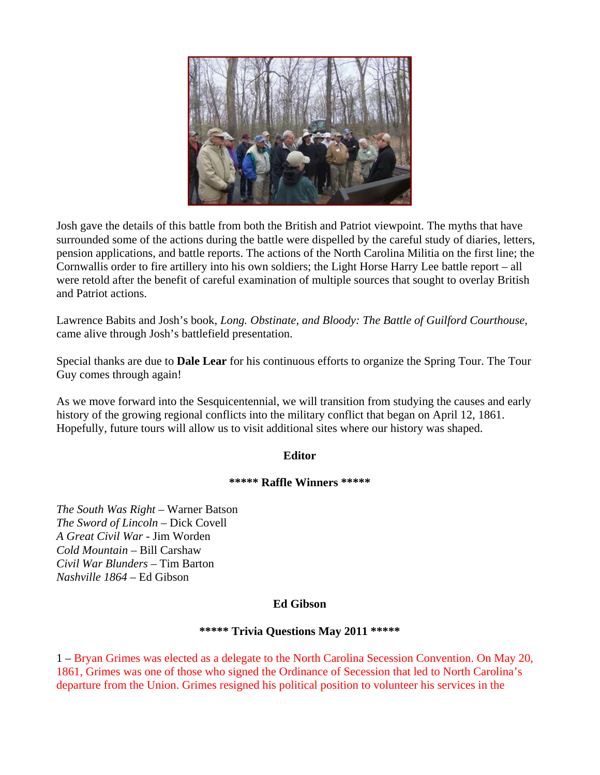

Josh gave the details of this battle from both the British and Patriot viewpoint. The myths that have surrounded some of the actions during the battle were dispelled by the careful study of diaries, letters, pension applications, and battle reports. The actions of the North Carolina Militia on the first line; the Cornwallis order to fire artillery into his own soldiers; the Light Horse Harry Lee battle report – all were retold after the benefit of careful examination of multiple sources that sought to overlay British and Patriot actions.

Lawrence Babits and Josh's book, *Long. Obstinate, and Bloody: The Battle of Guilford Courthouse*, came alive through Josh's battlefield presentation.

Special thanks are due to **Dale Lear** for his continuous efforts to organize the Spring Tour. The Tour Guy comes through again!

As we move forward into the Sesquicentennial, we will transition from studying the causes and early history of the growing regional conflicts into the military conflict that began on April 12, 1861. Hopefully, future tours will allow us to visit additional sites where our history was shaped.

#### **Editor**

#### **\*\*\*\*\* Raffle Winners \*\*\*\*\***

*The South Was Right* – Warner Batson *The Sword of Lincoln* – Dick Covell *A Great Civil War* - Jim Worden *Cold Mountain* – Bill Carshaw *Civil War Blunders* – Tim Barton *Nashville 1864* – Ed Gibson

#### **Ed Gibson**

#### **\*\*\*\*\* Trivia Questions May 2011 \*\*\*\*\***

1 – Bryan Grimes was elected as a delegate to the North Carolina Secession Convention. On May 20, 1861, Grimes was one of those who signed the Ordinance of Secession that led to North Carolina's departure from the Union. Grimes resigned his political position to volunteer his services in the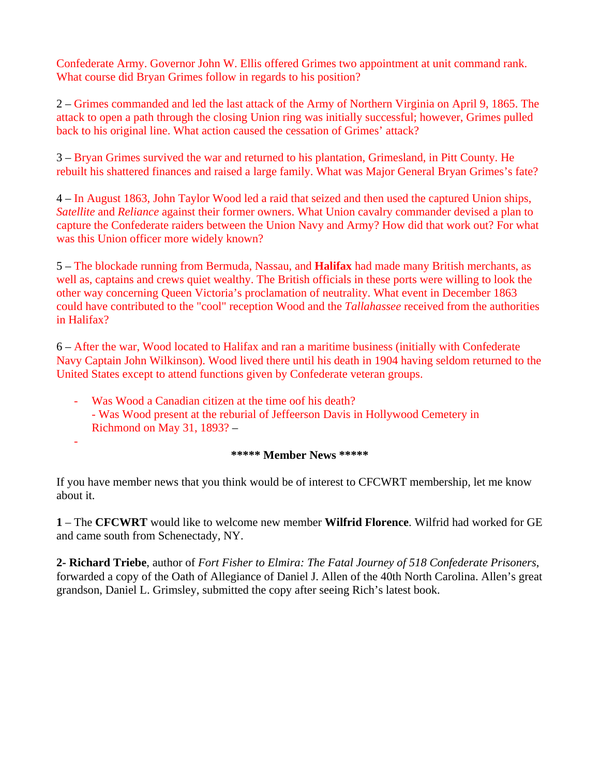Confederate Army. Governor John W. Ellis offered Grimes two appointment at unit command rank. What course did Bryan Grimes follow in regards to his position?

2 – Grimes commanded and led the last attack of the Army of Northern Virginia on April 9, 1865. The attack to open a path through the closing Union ring was initially successful; however, Grimes pulled back to his original line. What action caused the cessation of Grimes' attack?

3 – Bryan Grimes survived the war and returned to his plantation, Grimesland, in Pitt County. He rebuilt his shattered finances and raised a large family. What was Major General Bryan Grimes's fate?

4 – In August 1863, John Taylor Wood led a raid that seized and then used the captured Union ships, *Satellite* and *Reliance* against their former owners. What Union cavalry commander devised a plan to capture the Confederate raiders between the Union Navy and Army? How did that work out? For what was this Union officer more widely known?

5 – The blockade running from Bermuda, Nassau, and **Halifax** had made many British merchants, as well as, captains and crews quiet wealthy. The British officials in these ports were willing to look the other way concerning Queen Victoria's proclamation of neutrality. What event in December 1863 could have contributed to the "cool" reception Wood and the *Tallahassee* received from the authorities in Halifax?

6 – After the war, Wood located to Halifax and ran a maritime business (initially with Confederate Navy Captain John Wilkinson). Wood lived there until his death in 1904 having seldom returned to the United States except to attend functions given by Confederate veteran groups.

Was Wood a Canadian citizen at the time oof his death? - Was Wood present at the reburial of Jeffeerson Davis in Hollywood Cemetery in Richmond on May 31, 1893? –

#### -

#### **\*\*\*\*\* Member News \*\*\*\*\***

If you have member news that you think would be of interest to CFCWRT membership, let me know about it.

**1** – The **CFCWRT** would like to welcome new member **Wilfrid Florence**. Wilfrid had worked for GE and came south from Schenectady, NY.

**2- Richard Triebe**, author of *Fort Fisher to Elmira: The Fatal Journey of 518 Confederate Prisoners*, forwarded a copy of the Oath of Allegiance of Daniel J. Allen of the 40th North Carolina. Allen's great grandson, Daniel L. Grimsley, submitted the copy after seeing Rich's latest book.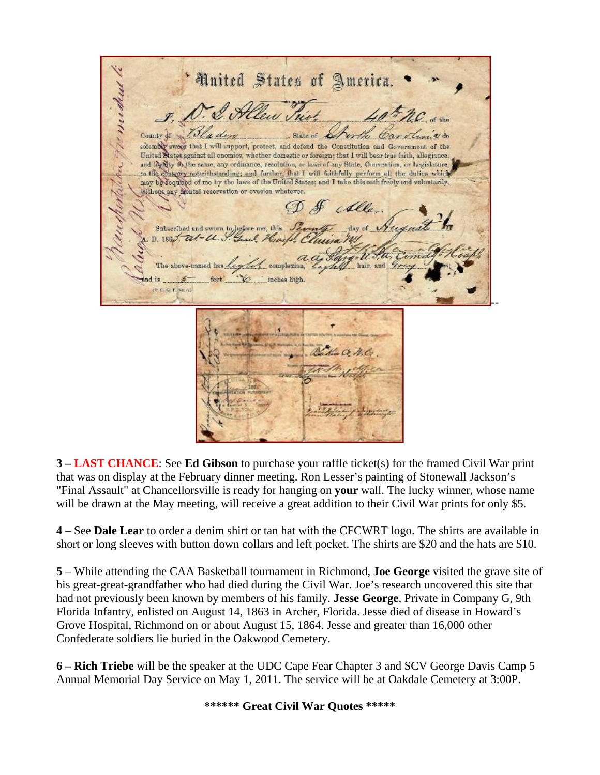'United States of America. Manuelus State of County of erth solember sweer that I will support, protect, and defend the Constitution and Government of the United States against all enomies, whether domestic or foreign; that I will bear true faith, allegiance. and log May to the same, any ordinance, resolution, or laws of any State, Convention, or Legislature, to the contenty notwithstanding; and further, that I will faithfully perform all the duties which may be dequired of me by the laws of the United States; and I take this eath freely and voluntarily, withons any mental reservation or evasion whatever. D & Alle Subscribed and sworn to hearre me, this D.  $1862$ .  $a-tt.9$ hair, and is inches hich. (0, 0, 0, 17, No. 6) --

**3 – LAST CHANCE**: See **Ed Gibson** to purchase your raffle ticket(s) for the framed Civil War print that was on display at the February dinner meeting. Ron Lesser's painting of Stonewall Jackson's "Final Assault" at Chancellorsville is ready for hanging on **your** wall. The lucky winner, whose name will be drawn at the May meeting, will receive a great addition to their Civil War prints for only \$5.

**4** – See **Dale Lear** to order a denim shirt or tan hat with the CFCWRT logo. The shirts are available in short or long sleeves with button down collars and left pocket. The shirts are \$20 and the hats are \$10.

**5** – While attending the CAA Basketball tournament in Richmond, **Joe George** visited the grave site of his great-great-grandfather who had died during the Civil War. Joe's research uncovered this site that had not previously been known by members of his family. **Jesse George**, Private in Company G, 9th Florida Infantry, enlisted on August 14, 1863 in Archer, Florida. Jesse died of disease in Howard's Grove Hospital, Richmond on or about August 15, 1864. Jesse and greater than 16,000 other Confederate soldiers lie buried in the Oakwood Cemetery.

**6 – Rich Triebe** will be the speaker at the UDC Cape Fear Chapter 3 and SCV George Davis Camp 5 Annual Memorial Day Service on May 1, 2011. The service will be at Oakdale Cemetery at 3:00P.

**\*\*\*\*\*\* Great Civil War Quotes \*\*\*\*\***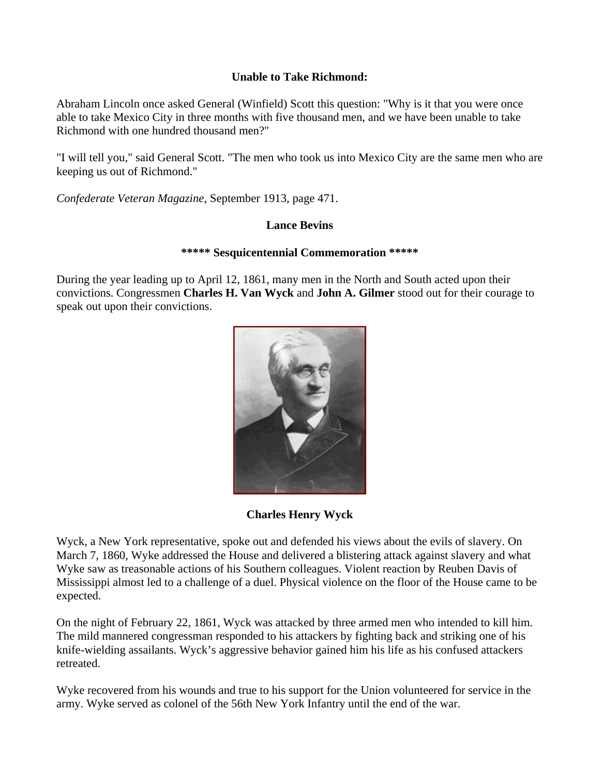#### **Unable to Take Richmond:**

Abraham Lincoln once asked General (Winfield) Scott this question: "Why is it that you were once able to take Mexico City in three months with five thousand men, and we have been unable to take Richmond with one hundred thousand men?"

"I will tell you," said General Scott. "The men who took us into Mexico City are the same men who are keeping us out of Richmond."

*Confederate Veteran Magazine*, September 1913, page 471.

#### **Lance Bevins**

#### **\*\*\*\*\* Sesquicentennial Commemoration \*\*\*\*\***

During the year leading up to April 12, 1861, many men in the North and South acted upon their convictions. Congressmen **Charles H. Van Wyck** and **John A. Gilmer** stood out for their courage to speak out upon their convictions.



**Charles Henry Wyck** 

Wyck, a New York representative, spoke out and defended his views about the evils of slavery. On March 7, 1860, Wyke addressed the House and delivered a blistering attack against slavery and what Wyke saw as treasonable actions of his Southern colleagues. Violent reaction by Reuben Davis of Mississippi almost led to a challenge of a duel. Physical violence on the floor of the House came to be expected.

On the night of February 22, 1861, Wyck was attacked by three armed men who intended to kill him. The mild mannered congressman responded to his attackers by fighting back and striking one of his knife-wielding assailants. Wyck's aggressive behavior gained him his life as his confused attackers retreated.

Wyke recovered from his wounds and true to his support for the Union volunteered for service in the army. Wyke served as colonel of the 56th New York Infantry until the end of the war.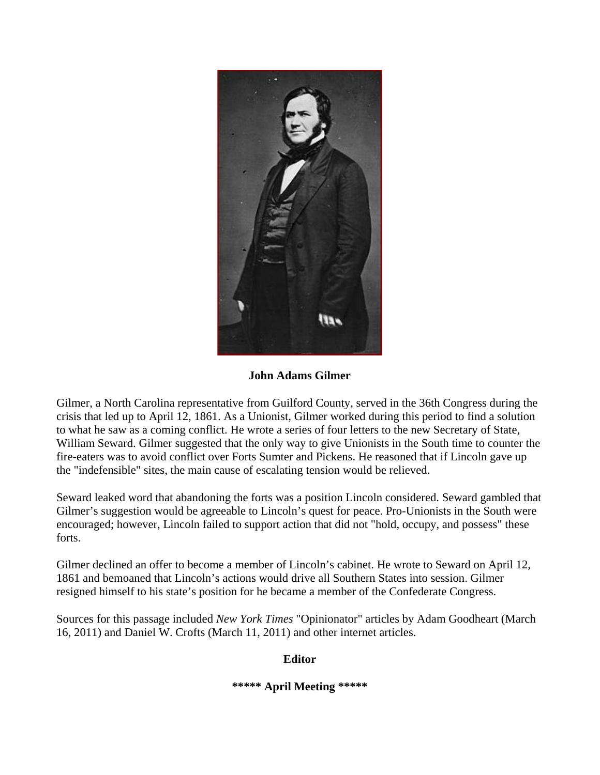

**John Adams Gilmer** 

Gilmer, a North Carolina representative from Guilford County, served in the 36th Congress during the crisis that led up to April 12, 1861. As a Unionist, Gilmer worked during this period to find a solution to what he saw as a coming conflict. He wrote a series of four letters to the new Secretary of State, William Seward. Gilmer suggested that the only way to give Unionists in the South time to counter the fire-eaters was to avoid conflict over Forts Sumter and Pickens. He reasoned that if Lincoln gave up the "indefensible" sites, the main cause of escalating tension would be relieved.

Seward leaked word that abandoning the forts was a position Lincoln considered. Seward gambled that Gilmer's suggestion would be agreeable to Lincoln's quest for peace. Pro-Unionists in the South were encouraged; however, Lincoln failed to support action that did not "hold, occupy, and possess" these forts.

Gilmer declined an offer to become a member of Lincoln's cabinet. He wrote to Seward on April 12, 1861 and bemoaned that Lincoln's actions would drive all Southern States into session. Gilmer resigned himself to his state's position for he became a member of the Confederate Congress.

Sources for this passage included *New York Times* "Opinionator" articles by Adam Goodheart (March 16, 2011) and Daniel W. Crofts (March 11, 2011) and other internet articles.

**Editor** 

#### **\*\*\*\*\* April Meeting \*\*\*\*\***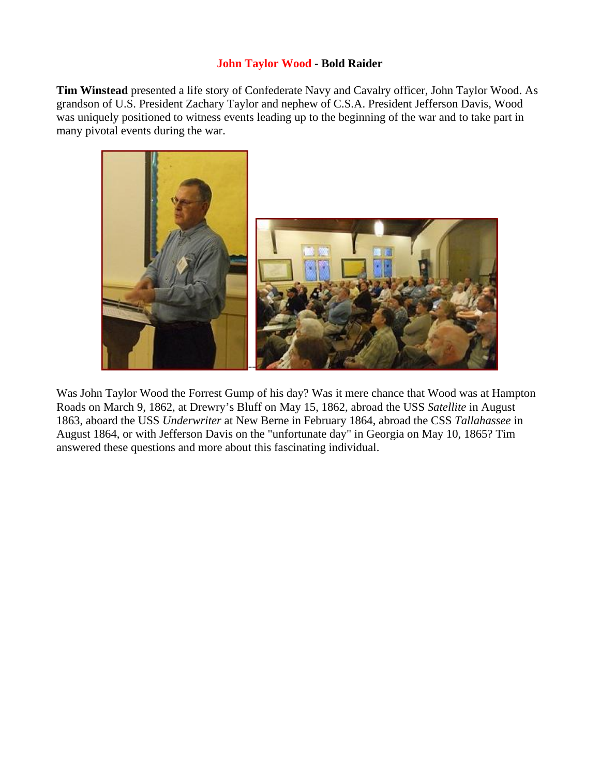#### **John Taylor Wood - Bold Raider**

**Tim Winstead** presented a life story of Confederate Navy and Cavalry officer, John Taylor Wood. As grandson of U.S. President Zachary Taylor and nephew of C.S.A. President Jefferson Davis, Wood was uniquely positioned to witness events leading up to the beginning of the war and to take part in many pivotal events during the war.



Was John Taylor Wood the Forrest Gump of his day? Was it mere chance that Wood was at Hampton Roads on March 9, 1862, at Drewry's Bluff on May 15, 1862, abroad the USS *Satellite* in August 1863, aboard the USS *Underwriter* at New Berne in February 1864, abroad the CSS *Tallahassee* in August 1864, or with Jefferson Davis on the "unfortunate day" in Georgia on May 10, 1865? Tim answered these questions and more about this fascinating individual.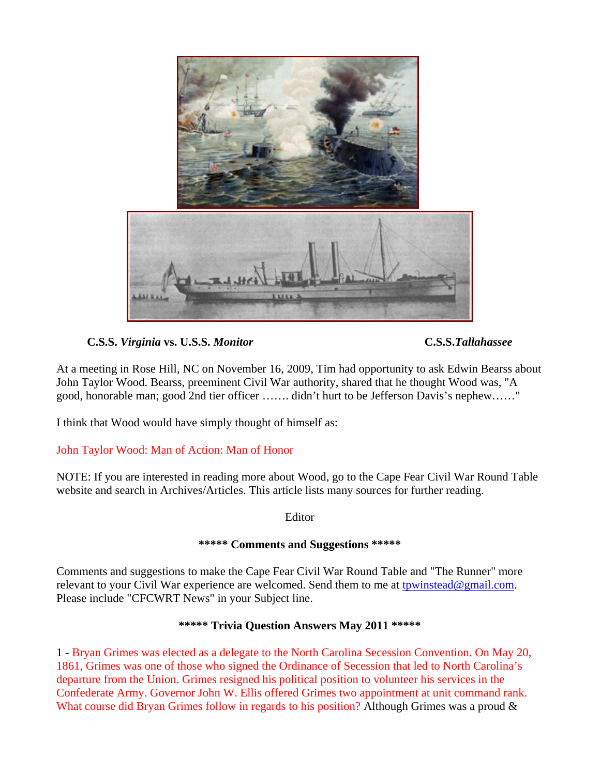

### **C.S.S.** *Virginia* **vs. U.S.S.** *Monitor* **-------------------------------------------C.S.S.***Tallahassee*

At a meeting in Rose Hill, NC on November 16, 2009, Tim had opportunity to ask Edwin Bearss about John Taylor Wood. Bearss, preeminent Civil War authority, shared that he thought Wood was, "A good, honorable man; good 2nd tier officer ……. didn't hurt to be Jefferson Davis's nephew……"

I think that Wood would have simply thought of himself as:

#### John Taylor Wood: Man of Action: Man of Honor

NOTE: If you are interested in reading more about Wood, go to the Cape Fear Civil War Round Table website and search in Archives/Articles. This article lists many sources for further reading.

Editor

#### **\*\*\*\*\* Comments and Suggestions \*\*\*\*\***

Comments and suggestions to make the Cape Fear Civil War Round Table and "The Runner" more relevant to your Civil War experience are welcomed. Send them to me at [tpwinstead@gmail.com.](mailto:tpwinstead@gmail.com) Please include "CFCWRT News" in your Subject line.

#### **\*\*\*\*\* Trivia Question Answers May 2011 \*\*\*\*\***

1 - Bryan Grimes was elected as a delegate to the North Carolina Secession Convention. On May 20, 1861, Grimes was one of those who signed the Ordinance of Secession that led to North Carolina's departure from the Union. Grimes resigned his political position to volunteer his services in the Confederate Army. Governor John W. Ellis offered Grimes two appointment at unit command rank. What course did Bryan Grimes follow in regards to his position? Although Grimes was a proud &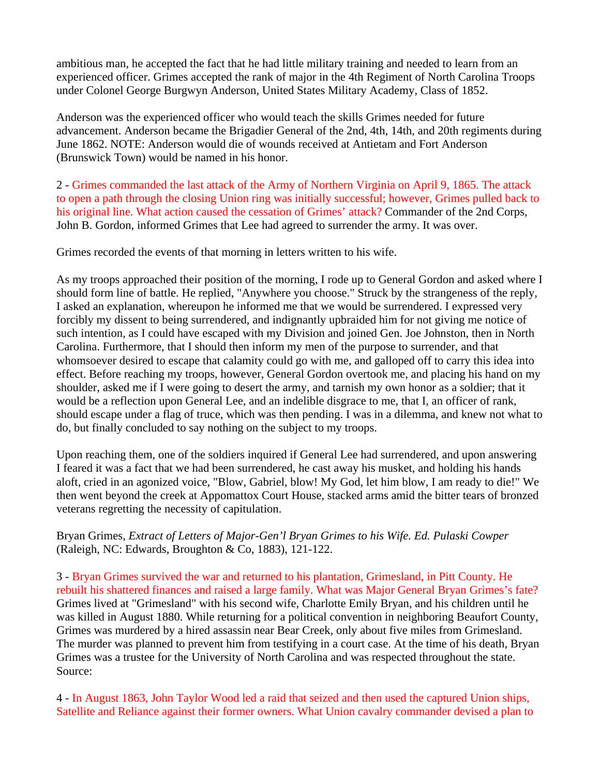ambitious man, he accepted the fact that he had little military training and needed to learn from an experienced officer. Grimes accepted the rank of major in the 4th Regiment of North Carolina Troops under Colonel George Burgwyn Anderson, United States Military Academy, Class of 1852.

Anderson was the experienced officer who would teach the skills Grimes needed for future advancement. Anderson became the Brigadier General of the 2nd, 4th, 14th, and 20th regiments during June 1862. NOTE: Anderson would die of wounds received at Antietam and Fort Anderson (Brunswick Town) would be named in his honor.

2 - Grimes commanded the last attack of the Army of Northern Virginia on April 9, 1865. The attack to open a path through the closing Union ring was initially successful; however, Grimes pulled back to his original line. What action caused the cessation of Grimes' attack? Commander of the 2nd Corps, John B. Gordon, informed Grimes that Lee had agreed to surrender the army. It was over.

Grimes recorded the events of that morning in letters written to his wife.

As my troops approached their position of the morning, I rode up to General Gordon and asked where I should form line of battle. He replied, "Anywhere you choose." Struck by the strangeness of the reply, I asked an explanation, whereupon he informed me that we would be surrendered. I expressed very forcibly my dissent to being surrendered, and indignantly upbraided him for not giving me notice of such intention, as I could have escaped with my Division and joined Gen. Joe Johnston, then in North Carolina. Furthermore, that I should then inform my men of the purpose to surrender, and that whomsoever desired to escape that calamity could go with me, and galloped off to carry this idea into effect. Before reaching my troops, however, General Gordon overtook me, and placing his hand on my shoulder, asked me if I were going to desert the army, and tarnish my own honor as a soldier; that it would be a reflection upon General Lee, and an indelible disgrace to me, that I, an officer of rank, should escape under a flag of truce, which was then pending. I was in a dilemma, and knew not what to do, but finally concluded to say nothing on the subject to my troops.

Upon reaching them, one of the soldiers inquired if General Lee had surrendered, and upon answering I feared it was a fact that we had been surrendered, he cast away his musket, and holding his hands aloft, cried in an agonized voice, "Blow, Gabriel, blow! My God, let him blow, I am ready to die!" We then went beyond the creek at Appomattox Court House, stacked arms amid the bitter tears of bronzed veterans regretting the necessity of capitulation.

Bryan Grimes, *Extract of Letters of Major-Gen'l Bryan Grimes to his Wife. Ed. Pulaski Cowper* (Raleigh, NC: Edwards, Broughton & Co, 1883), 121-122.

3 - Bryan Grimes survived the war and returned to his plantation, Grimesland, in Pitt County. He rebuilt his shattered finances and raised a large family. What was Major General Bryan Grimes's fate? Grimes lived at "Grimesland" with his second wife, Charlotte Emily Bryan, and his children until he was killed in August 1880. While returning for a political convention in neighboring Beaufort County, Grimes was murdered by a hired assassin near Bear Creek, only about five miles from Grimesland. The murder was planned to prevent him from testifying in a court case. At the time of his death, Bryan Grimes was a trustee for the University of North Carolina and was respected throughout the state. Source:

4 - In August 1863, John Taylor Wood led a raid that seized and then used the captured Union ships, Satellite and Reliance against their former owners. What Union cavalry commander devised a plan to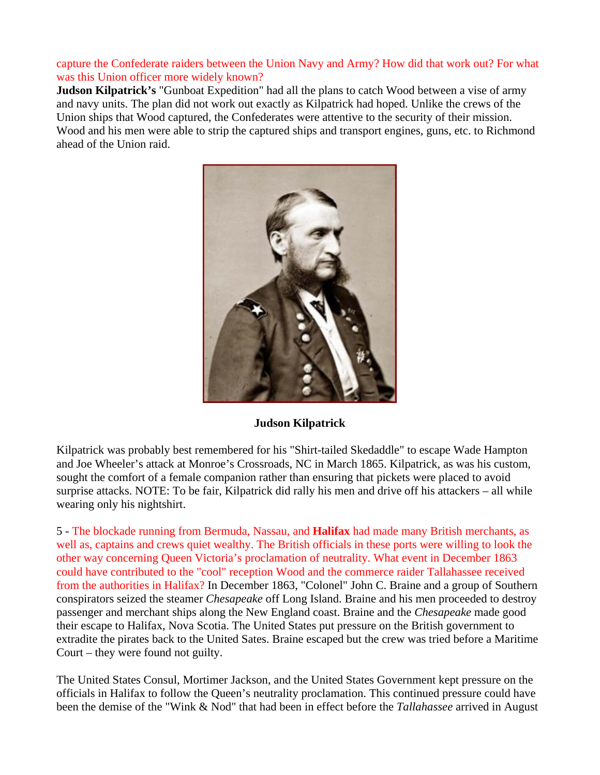#### capture the Confederate raiders between the Union Navy and Army? How did that work out? For what was this Union officer more widely known?

**Judson Kilpatrick's** "Gunboat Expedition" had all the plans to catch Wood between a vise of army and navy units. The plan did not work out exactly as Kilpatrick had hoped. Unlike the crews of the Union ships that Wood captured, the Confederates were attentive to the security of their mission. Wood and his men were able to strip the captured ships and transport engines, guns, etc. to Richmond ahead of the Union raid.



#### **Judson Kilpatrick**

Kilpatrick was probably best remembered for his "Shirt-tailed Skedaddle" to escape Wade Hampton and Joe Wheeler's attack at Monroe's Crossroads, NC in March 1865. Kilpatrick, as was his custom, sought the comfort of a female companion rather than ensuring that pickets were placed to avoid surprise attacks. NOTE: To be fair, Kilpatrick did rally his men and drive off his attackers – all while wearing only his nightshirt.

5 - The blockade running from Bermuda, Nassau, and **Halifax** had made many British merchants, as well as, captains and crews quiet wealthy. The British officials in these ports were willing to look the other way concerning Queen Victoria's proclamation of neutrality. What event in December 1863 could have contributed to the "cool" reception Wood and the commerce raider Tallahassee received from the authorities in Halifax? In December 1863, "Colonel" John C. Braine and a group of Southern conspirators seized the steamer *Chesapeake* off Long Island. Braine and his men proceeded to destroy passenger and merchant ships along the New England coast. Braine and the *Chesapeake* made good their escape to Halifax, Nova Scotia. The United States put pressure on the British government to extradite the pirates back to the United Sates. Braine escaped but the crew was tried before a Maritime Court – they were found not guilty.

The United States Consul, Mortimer Jackson, and the United States Government kept pressure on the officials in Halifax to follow the Queen's neutrality proclamation. This continued pressure could have been the demise of the "Wink & Nod" that had been in effect before the *Tallahassee* arrived in August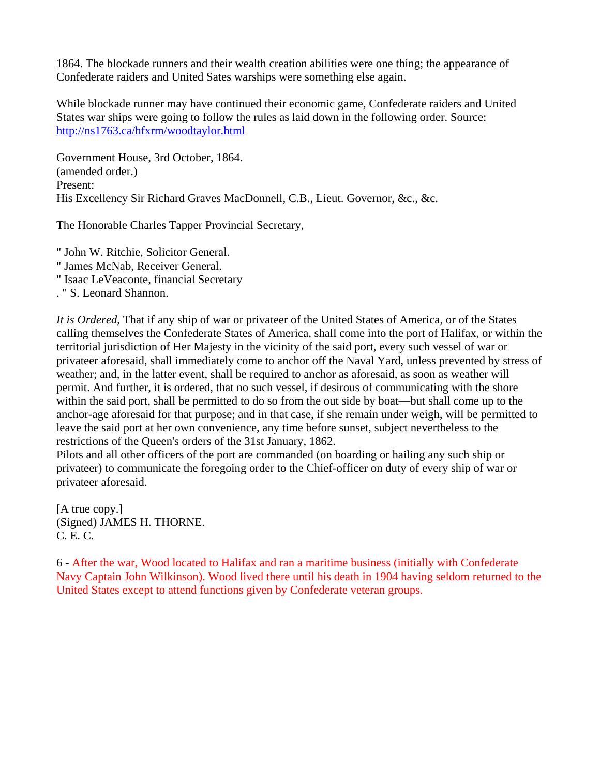1864. The blockade runners and their wealth creation abilities were one thing; the appearance of Confederate raiders and United Sates warships were something else again.

While blockade runner may have continued their economic game, Confederate raiders and United States war ships were going to follow the rules as laid down in the following order. Source: <http://ns1763.ca/hfxrm/woodtaylor.html>

Government House, 3rd October, 1864. (amended order.) Present: His Excellency Sir Richard Graves MacDonnell, C.B., Lieut. Governor, &c., &c.

The Honorable Charles Tapper Provincial Secretary,

" John W. Ritchie, Solicitor General.

- " James McNab, Receiver General.
- " Isaac LeVeaconte, financial Secretary
- . " S. Leonard Shannon.

*It is Ordered*, That if any ship of war or privateer of the United States of America, or of the States calling themselves the Confederate States of America, shall come into the port of Halifax, or within the territorial jurisdiction of Her Majesty in the vicinity of the said port, every such vessel of war or privateer aforesaid, shall immediately come to anchor off the Naval Yard, unless prevented by stress of weather; and, in the latter event, shall be required to anchor as aforesaid, as soon as weather will permit. And further, it is ordered, that no such vessel, if desirous of communicating with the shore within the said port, shall be permitted to do so from the out side by boat—but shall come up to the anchor-age aforesaid for that purpose; and in that case, if she remain under weigh, will be permitted to leave the said port at her own convenience, any time before sunset, subject nevertheless to the restrictions of the Queen's orders of the 31st January, 1862.

Pilots and all other officers of the port are commanded (on boarding or hailing any such ship or privateer) to communicate the foregoing order to the Chief-officer on duty of every ship of war or privateer aforesaid.

[A true copy.] (Signed) JAMES H. THORNE. C. E. C.

6 - After the war, Wood located to Halifax and ran a maritime business (initially with Confederate Navy Captain John Wilkinson). Wood lived there until his death in 1904 having seldom returned to the United States except to attend functions given by Confederate veteran groups.